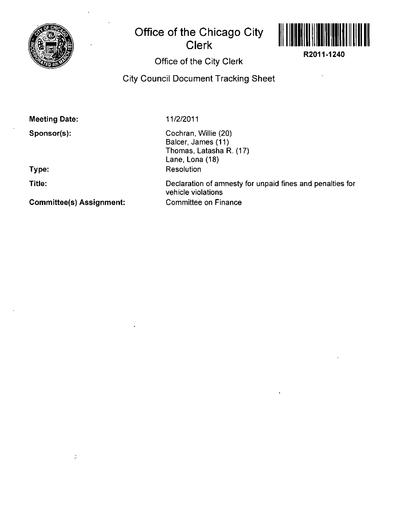

## **Office of the Chicago City Clerk**



**R2011-1240** 

## Office of the City Clerk

City Council Document Tracking Sheet

Meeting Date:

Sponsor(s):

**Type:** 

**Title:** 

Committee(s) Assignment:

 $\frac{1}{\sqrt{2}}$ 

11/2/2011

Cochran, Willie (20) Balcer, James (11) Thomas, Latasha R. (17) Lane, Lona (18) Resolution

Declaration of amnesty for unpaid fines and penalties for vehicle violations Committee on Finance